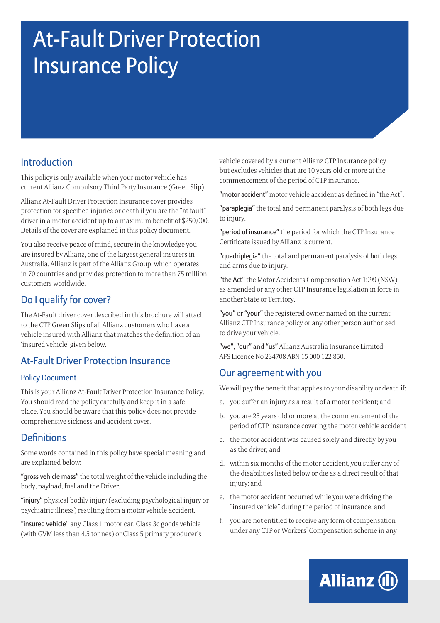# At-Fault Driver Protection Insurance Policy

## Introduction

This policy is only available when your motor vehicle has current Allianz Compulsory Third Party Insurance (Green Slip).

Allianz At-Fault Driver Protection Insurance cover provides protection for specified injuries or death if you are the "at fault" driver in a motor accident up to a maximum benefit of \$250,000. Details of the cover are explained in this policy document.

You also receive peace of mind, secure in the knowledge you are insured by Allianz, one of the largest general insurers in Australia. Allianz is part of the Allianz Group, which operates in 70 countries and provides protection to more than 75 million customers worldwide.

## Do I qualify for cover?

The At-Fault driver cover described in this brochure will attach to the CTP Green Slips of all Allianz customers who have a vehicle insured with Allianz that matches the definition of an 'insured vehicle' given below.

### At-Fault Driver Protection Insurance

#### Policy Document

This is your Allianz At-Fault Driver Protection Insurance Policy. You should read the policy carefully and keep it in a safe place. You should be aware that this policy does not provide comprehensive sickness and accident cover.

### **Definitions**

Some words contained in this policy have special meaning and are explained below:

"gross vehicle mass" the total weight of the vehicle including the body, payload, fuel and the Driver.

"injury" physical bodily injury (excluding psychological injury or psychiatric illness) resulting from a motor vehicle accident.

"insured vehicle" any Class 1 motor car, Class 3c goods vehicle (with GVM less than 4.5 tonnes) or Class 5 primary producer's vehicle covered by a current Allianz CTP Insurance policy but excludes vehicles that are 10 years old or more at the commencement of the period of CTP insurance.

"motor accident" motor vehicle accident as defined in "the Act".

"paraplegia" the total and permanent paralysis of both legs due to injury.

"period of insurance" the period for which the CTP Insurance Certificate issued by Allianz is current.

"quadriplegia" the total and permanent paralysis of both legs and arms due to injury.

"the Act" the Motor Accidents Compensation Act 1999 (NSW) as amended or any other CTP Insurance legislation in force in another State or Territory.

"you" or "your" the registered owner named on the current Allianz CTP Insurance policy or any other person authorised to drive your vehicle.

"we", "our" and "us" Allianz Australia Insurance Limited AFS Licence No 234708 ABN 15 000 122 850.

### Our agreement with you

We will pay the benefit that applies to your disability or death if:

- a. you suffer an injury as a result of a motor accident; and
- b. you are 25 years old or more at the commencement of the period of CTP insurance covering the motor vehicle accident
- c. the motor accident was caused solely and directly by you as the driver; and
- d. within six months of the motor accident, you suffer any of the disabilities listed below or die as a direct result of that injury; and
- e. the motor accident occurred while you were driving the "insured vehicle" during the period of insurance; and
- f. you are not entitled to receive any form of compensation under any CTP or Workers' Compensation scheme in any